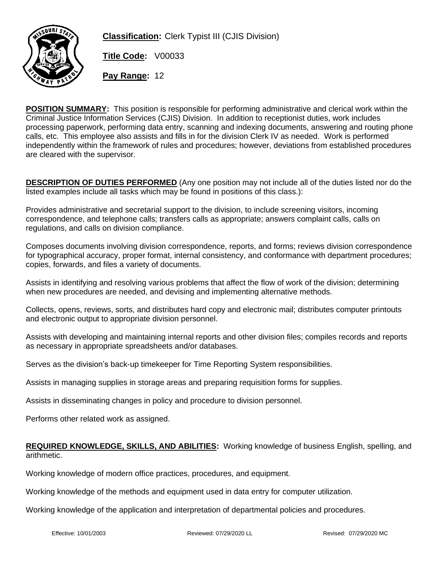

**Classification:** Clerk Typist III (CJIS Division)

**Title Code:** V00033

**Pay Range:** 12

**POSITION SUMMARY:** This position is responsible for performing administrative and clerical work within the Criminal Justice Information Services (CJIS) Division. In addition to receptionist duties, work includes processing paperwork, performing data entry, scanning and indexing documents, answering and routing phone calls, etc. This employee also assists and fills in for the division Clerk IV as needed. Work is performed independently within the framework of rules and procedures; however, deviations from established procedures are cleared with the supervisor.

**DESCRIPTION OF DUTIES PERFORMED** (Any one position may not include all of the duties listed nor do the listed examples include all tasks which may be found in positions of this class.):

Provides administrative and secretarial support to the division, to include screening visitors, incoming correspondence, and telephone calls; transfers calls as appropriate; answers complaint calls, calls on regulations, and calls on division compliance.

Composes documents involving division correspondence, reports, and forms; reviews division correspondence for typographical accuracy, proper format, internal consistency, and conformance with department procedures; copies, forwards, and files a variety of documents.

Assists in identifying and resolving various problems that affect the flow of work of the division; determining when new procedures are needed, and devising and implementing alternative methods.

Collects, opens, reviews, sorts, and distributes hard copy and electronic mail; distributes computer printouts and electronic output to appropriate division personnel.

Assists with developing and maintaining internal reports and other division files; compiles records and reports as necessary in appropriate spreadsheets and/or databases.

Serves as the division's back-up timekeeper for Time Reporting System responsibilities.

Assists in managing supplies in storage areas and preparing requisition forms for supplies.

Assists in disseminating changes in policy and procedure to division personnel.

Performs other related work as assigned.

## **REQUIRED KNOWLEDGE, SKILLS, AND ABILITIES:** Working knowledge of business English, spelling, and arithmetic.

Working knowledge of modern office practices, procedures, and equipment.

Working knowledge of the methods and equipment used in data entry for computer utilization.

Working knowledge of the application and interpretation of departmental policies and procedures.